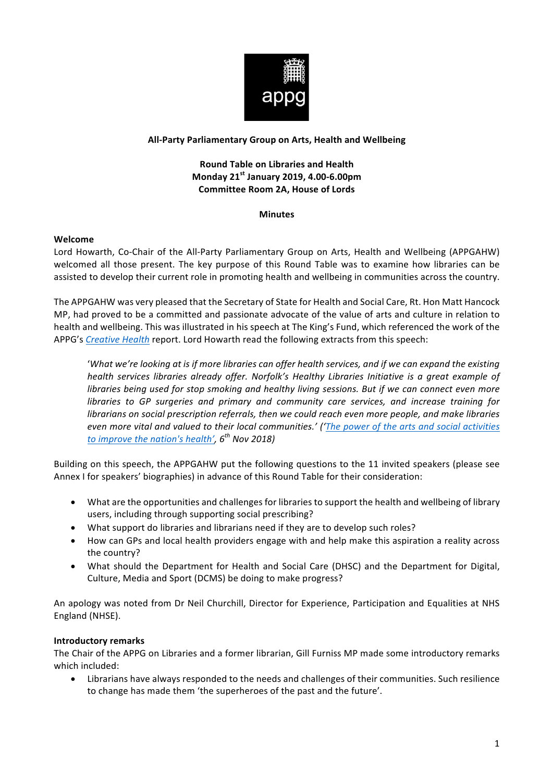

## **All-Party Parliamentary Group on Arts, Health and Wellbeing**

# **Round Table on Libraries and Health Monday 21st January 2019, 4.00-6.00pm Committee Room 2A, House of Lords**

#### **Minutes**

#### **Welcome**

Lord Howarth, Co-Chair of the All-Party Parliamentary Group on Arts, Health and Wellbeing (APPGAHW) welcomed all those present. The key purpose of this Round Table was to examine how libraries can be assisted to develop their current role in promoting health and wellbeing in communities across the country.

The APPGAHW was very pleased that the Secretary of State for Health and Social Care, Rt. Hon Matt Hancock MP, had proved to be a committed and passionate advocate of the value of arts and culture in relation to health and wellbeing. This was illustrated in his speech at The King's Fund, which referenced the work of the APPG's Creative Health report. Lord Howarth read the following extracts from this speech:

'What we're looking at is if more libraries can offer health services, and if we can expand the existing *health services libraries already offer. Norfolk's Healthy Libraries Initiative is a great example of libraries being used for stop smoking and healthy living sessions. But if we can connect even more libraries* to GP surgeries and primary and community care services, and increase training for *librarians* on social prescription referrals, then we could reach even more people, and make libraries *even more vital and valued to their local communities.' ('The power of the arts and social activities to* improve the nation's health',  $6^{th}$  Nov 2018)

Building on this speech, the APPGAHW put the following questions to the 11 invited speakers (please see Annex I for speakers' biographies) in advance of this Round Table for their consideration:

- What are the opportunities and challenges for libraries to support the health and wellbeing of library users, including through supporting social prescribing?
- What support do libraries and librarians need if they are to develop such roles?
- How can GPs and local health providers engage with and help make this aspiration a reality across the country?
- What should the Department for Health and Social Care (DHSC) and the Department for Digital, Culture, Media and Sport (DCMS) be doing to make progress?

An apology was noted from Dr Neil Churchill, Director for Experience, Participation and Equalities at NHS England (NHSE).

#### **Introductory remarks**

The Chair of the APPG on Libraries and a former librarian, Gill Furniss MP made some introductory remarks which included:

• Librarians have always responded to the needs and challenges of their communities. Such resilience to change has made them 'the superheroes of the past and the future'.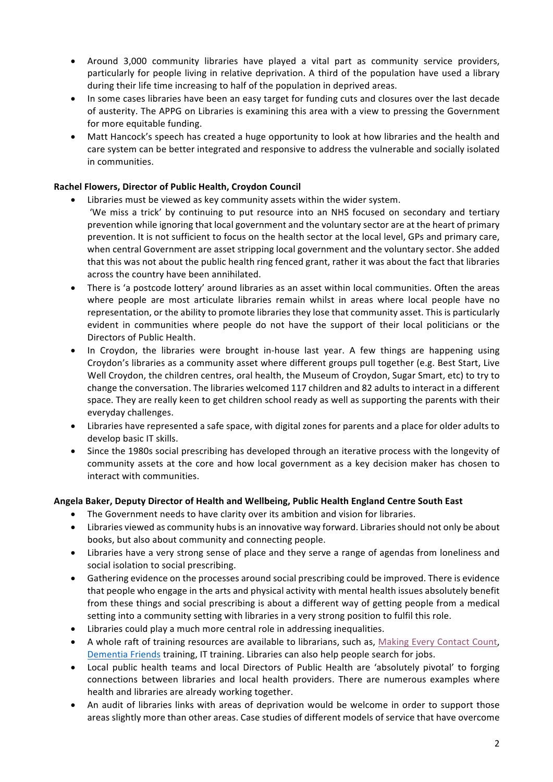- Around 3,000 community libraries have played a vital part as community service providers, particularly for people living in relative deprivation. A third of the population have used a library during their life time increasing to half of the population in deprived areas.
- In some cases libraries have been an easy target for funding cuts and closures over the last decade of austerity. The APPG on Libraries is examining this area with a view to pressing the Government for more equitable funding.
- Matt Hancock's speech has created a huge opportunity to look at how libraries and the health and care system can be better integrated and responsive to address the vulnerable and socially isolated in communities.

# **Rachel Flowers, Director of Public Health, Croydon Council**

- Libraries must be viewed as key community assets within the wider system. 'We miss a trick' by continuing to put resource into an NHS focused on secondary and tertiary prevention while ignoring that local government and the voluntary sector are at the heart of primary prevention. It is not sufficient to focus on the health sector at the local level, GPs and primary care, when central Government are asset stripping local government and the voluntary sector. She added that this was not about the public health ring fenced grant, rather it was about the fact that libraries across the country have been annihilated.
- There is 'a postcode lottery' around libraries as an asset within local communities. Often the areas where people are most articulate libraries remain whilst in areas where local people have no representation, or the ability to promote libraries they lose that community asset. This is particularly evident in communities where people do not have the support of their local politicians or the Directors of Public Health.
- In Croydon, the libraries were brought in-house last year. A few things are happening using Croydon's libraries as a community asset where different groups pull together (e.g. Best Start, Live Well Croydon, the children centres, oral health, the Museum of Croydon, Sugar Smart, etc) to try to change the conversation. The libraries welcomed 117 children and 82 adults to interact in a different space. They are really keen to get children school ready as well as supporting the parents with their everyday challenges.
- Libraries have represented a safe space, with digital zones for parents and a place for older adults to develop basic IT skills.
- Since the 1980s social prescribing has developed through an iterative process with the longevity of community assets at the core and how local government as a key decision maker has chosen to interact with communities.

# Angela Baker, Deputy Director of Health and Wellbeing, Public Health England Centre South East

- The Government needs to have clarity over its ambition and vision for libraries.
- Libraries viewed as community hubs is an innovative way forward. Libraries should not only be about books, but also about community and connecting people.
- Libraries have a very strong sense of place and they serve a range of agendas from loneliness and social isolation to social prescribing.
- Gathering evidence on the processes around social prescribing could be improved. There is evidence that people who engage in the arts and physical activity with mental health issues absolutely benefit from these things and social prescribing is about a different way of getting people from a medical setting into a community setting with libraries in a very strong position to fulfil this role.
- Libraries could play a much more central role in addressing inequalities.
- A whole raft of training resources are available to librarians, such as, Making Every Contact Count, Dementia Friends training, IT training. Libraries can also help people search for jobs.
- Local public health teams and local Directors of Public Health are 'absolutely pivotal' to forging connections between libraries and local health providers. There are numerous examples where health and libraries are already working together.
- An audit of libraries links with areas of deprivation would be welcome in order to support those areas slightly more than other areas. Case studies of different models of service that have overcome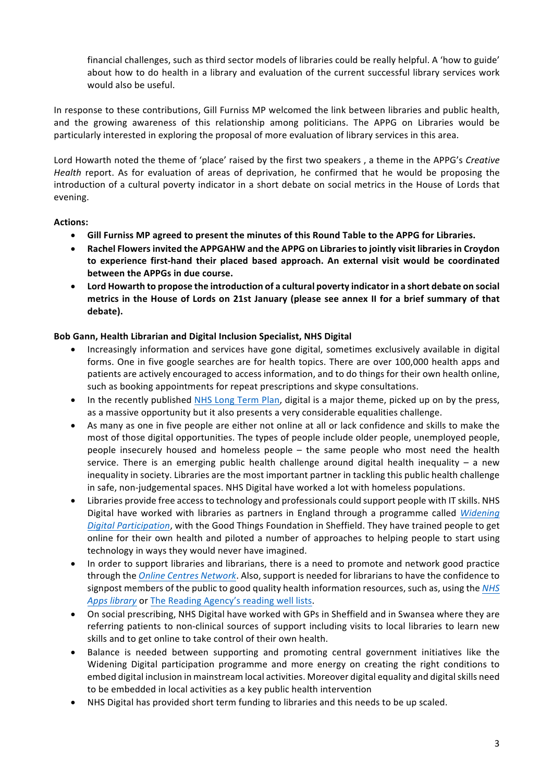financial challenges, such as third sector models of libraries could be really helpful. A 'how to guide' about how to do health in a library and evaluation of the current successful library services work would also be useful.

In response to these contributions, Gill Furniss MP welcomed the link between libraries and public health, and the growing awareness of this relationship among politicians. The APPG on Libraries would be particularly interested in exploring the proposal of more evaluation of library services in this area.

Lord Howarth noted the theme of 'place' raised by the first two speakers, a theme in the APPG's *Creative Health* report. As for evaluation of areas of deprivation, he confirmed that he would be proposing the introduction of a cultural poverty indicator in a short debate on social metrics in the House of Lords that evening.

# Actions:

- Gill Furniss MP agreed to present the minutes of this Round Table to the APPG for Libraries.
- **Rachel Flowers invited the APPGAHW and the APPG on Librariesto jointly visit libraries in Croydon**  to experience first-hand their placed based approach. An external visit would be coordinated **between the APPGs in due course.**
- Lord Howarth to propose the introduction of a cultural poverty indicator in a short debate on social metrics in the House of Lords on 21st January (please see annex II for a brief summary of that **debate).**

### **Bob Gann, Health Librarian and Digital Inclusion Specialist, NHS Digital**

- Increasingly information and services have gone digital, sometimes exclusively available in digital forms. One in five google searches are for health topics. There are over 100,000 health apps and patients are actively encouraged to access information, and to do things for their own health online, such as booking appointments for repeat prescriptions and skype consultations.
- In the recently published NHS Long Term Plan, digital is a major theme, picked up on by the press, as a massive opportunity but it also presents a very considerable equalities challenge.
- As many as one in five people are either not online at all or lack confidence and skills to make the most of those digital opportunities. The types of people include older people, unemployed people, people insecurely housed and homeless people – the same people who most need the health service. There is an emerging public health challenge around digital health inequality  $-$  a new inequality in society. Libraries are the most important partner in tackling this public health challenge in safe, non-judgemental spaces. NHS Digital have worked a lot with homeless populations.
- Libraries provide free access to technology and professionals could support people with IT skills. NHS Digital have worked with libraries as partners in England through a programme called *Widening Digital Participation*, with the Good Things Foundation in Sheffield. They have trained people to get online for their own health and piloted a number of approaches to helping people to start using technology in ways they would never have imagined.
- In order to support libraries and librarians, there is a need to promote and network good practice through the *Online Centres Network*. Also, support is needed for librarians to have the confidence to signpost members of the public to good quality health information resources, such as, using the *NHS* Apps library or The Reading Agency's reading well lists.
- On social prescribing, NHS Digital have worked with GPs in Sheffield and in Swansea where they are referring patients to non-clinical sources of support including visits to local libraries to learn new skills and to get online to take control of their own health.
- Balance is needed between supporting and promoting central government initiatives like the Widening Digital participation programme and more energy on creating the right conditions to embed digital inclusion in mainstream local activities. Moreover digital equality and digital skills need to be embedded in local activities as a key public health intervention
- NHS Digital has provided short term funding to libraries and this needs to be up scaled.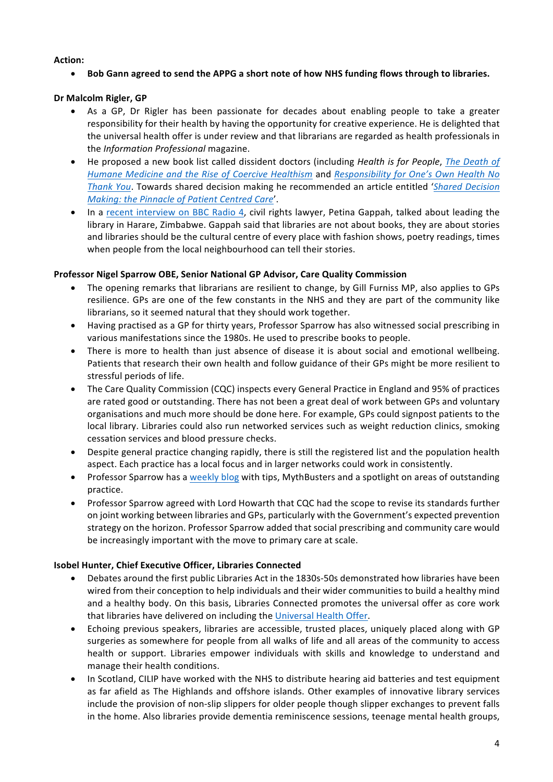### Action:

• Bob Gann agreed to send the APPG a short note of how NHS funding flows through to libraries.

# **Dr Malcolm Rigler, GP**

- As a GP, Dr Rigler has been passionate for decades about enabling people to take a greater responsibility for their health by having the opportunity for creative experience. He is delighted that the universal health offer is under review and that librarians are regarded as health professionals in the *Information Professional* magazine.
- He proposed a new book list called dissident doctors (including *Health is for People, The Death of Humane Medicine and the Rise of Coercive Healthism and Responsibility for One's Own Health No Thank You*. Towards shared decision making he recommended an article entitled '*Shared Decision Making: the Pinnacle of Patient Centred Care'.*
- In a recent interview on BBC Radio 4, civil rights lawyer, Petina Gappah, talked about leading the library in Harare, Zimbabwe. Gappah said that libraries are not about books, they are about stories and libraries should be the cultural centre of every place with fashion shows, poetry readings, times when people from the local neighbourhood can tell their stories.

# **Professor Nigel Sparrow OBE, Senior National GP Advisor, Care Quality Commission**

- The opening remarks that librarians are resilient to change, by Gill Furniss MP, also applies to GPs resilience. GPs are one of the few constants in the NHS and they are part of the community like librarians, so it seemed natural that they should work together.
- Having practised as a GP for thirty years, Professor Sparrow has also witnessed social prescribing in various manifestations since the 1980s. He used to prescribe books to people.
- There is more to health than just absence of disease it is about social and emotional wellbeing. Patients that research their own health and follow guidance of their GPs might be more resilient to stressful periods of life.
- The Care Quality Commission (CQC) inspects every General Practice in England and 95% of practices are rated good or outstanding. There has not been a great deal of work between GPs and voluntary organisations and much more should be done here. For example, GPs could signpost patients to the local library. Libraries could also run networked services such as weight reduction clinics, smoking cessation services and blood pressure checks.
- Despite general practice changing rapidly, there is still the registered list and the population health aspect. Each practice has a local focus and in larger networks could work in consistently.
- Professor Sparrow has a weekly blog with tips, MythBusters and a spotlight on areas of outstanding practice.
- Professor Sparrow agreed with Lord Howarth that CQC had the scope to revise its standards further on joint working between libraries and GPs, particularly with the Government's expected prevention strategy on the horizon. Professor Sparrow added that social prescribing and community care would be increasingly important with the move to primary care at scale.

# **Isobel Hunter, Chief Executive Officer, Libraries Connected**

- Debates around the first public Libraries Act in the 1830s-50s demonstrated how libraries have been wired from their conception to help individuals and their wider communities to build a healthy mind and a healthy body. On this basis, Libraries Connected promotes the universal offer as core work that libraries have delivered on including the Universal Health Offer.
- Echoing previous speakers, libraries are accessible, trusted places, uniquely placed along with GP surgeries as somewhere for people from all walks of life and all areas of the community to access health or support. Libraries empower individuals with skills and knowledge to understand and manage their health conditions.
- In Scotland, CILIP have worked with the NHS to distribute hearing aid batteries and test equipment as far afield as The Highlands and offshore islands. Other examples of innovative library services include the provision of non-slip slippers for older people though slipper exchanges to prevent falls in the home. Also libraries provide dementia reminiscence sessions, teenage mental health groups,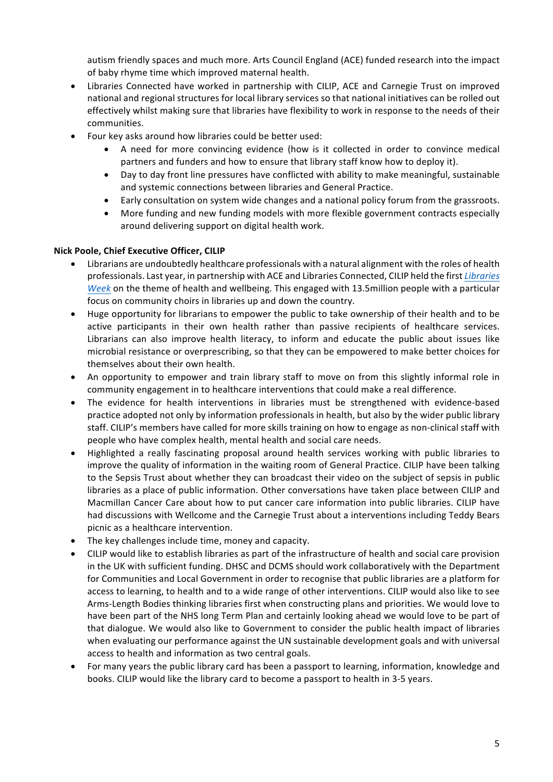autism friendly spaces and much more. Arts Council England (ACE) funded research into the impact of baby rhyme time which improved maternal health.

- Libraries Connected have worked in partnership with CILIP, ACE and Carnegie Trust on improved national and regional structures for local library services so that national initiatives can be rolled out effectively whilst making sure that libraries have flexibility to work in response to the needs of their communities.
- Four key asks around how libraries could be better used:
	- A need for more convincing evidence (how is it collected in order to convince medical partners and funders and how to ensure that library staff know how to deploy it).
	- Day to day front line pressures have conflicted with ability to make meaningful, sustainable and systemic connections between libraries and General Practice.
	- Early consultation on system wide changes and a national policy forum from the grassroots.
	- More funding and new funding models with more flexible government contracts especially around delivering support on digital health work.

# **Nick Poole, Chief Executive Officer, CILIP**

- Librarians are undoubtedly healthcare professionals with a natural alignment with the roles of health professionals. Last year, in partnership with ACE and Libraries Connected, CILIP held the first *Libraries Week* on the theme of health and wellbeing. This engaged with 13.5million people with a particular focus on community choirs in libraries up and down the country.
- Huge opportunity for librarians to empower the public to take ownership of their health and to be active participants in their own health rather than passive recipients of healthcare services. Librarians can also improve health literacy, to inform and educate the public about issues like microbial resistance or overprescribing, so that they can be empowered to make better choices for themselves about their own health.
- An opportunity to empower and train library staff to move on from this slightly informal role in community engagement in to healthcare interventions that could make a real difference.
- The evidence for health interventions in libraries must be strengthened with evidence-based practice adopted not only by information professionals in health, but also by the wider public library staff. CILIP's members have called for more skills training on how to engage as non-clinical staff with people who have complex health, mental health and social care needs.
- Highlighted a really fascinating proposal around health services working with public libraries to improve the quality of information in the waiting room of General Practice. CILIP have been talking to the Sepsis Trust about whether they can broadcast their video on the subject of sepsis in public libraries as a place of public information. Other conversations have taken place between CILIP and Macmillan Cancer Care about how to put cancer care information into public libraries. CILIP have had discussions with Wellcome and the Carnegie Trust about a interventions including Teddy Bears picnic as a healthcare intervention.
- The key challenges include time, money and capacity.
- CILIP would like to establish libraries as part of the infrastructure of health and social care provision in the UK with sufficient funding. DHSC and DCMS should work collaboratively with the Department for Communities and Local Government in order to recognise that public libraries are a platform for access to learning, to health and to a wide range of other interventions. CILIP would also like to see Arms-Length Bodies thinking libraries first when constructing plans and priorities. We would love to have been part of the NHS long Term Plan and certainly looking ahead we would love to be part of that dialogue. We would also like to Government to consider the public health impact of libraries when evaluating our performance against the UN sustainable development goals and with universal access to health and information as two central goals.
- For many years the public library card has been a passport to learning, information, knowledge and books. CILIP would like the library card to become a passport to health in 3-5 years.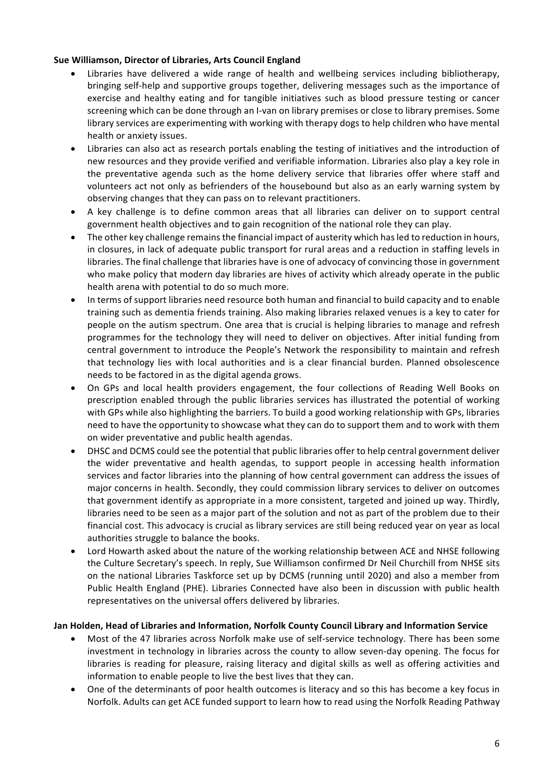## **Sue Williamson, Director of Libraries, Arts Council England**

- Libraries have delivered a wide range of health and wellbeing services including bibliotherapy, bringing self-help and supportive groups together, delivering messages such as the importance of exercise and healthy eating and for tangible initiatives such as blood pressure testing or cancer screening which can be done through an I-van on library premises or close to library premises. Some library services are experimenting with working with therapy dogs to help children who have mental health or anxiety issues.
- Libraries can also act as research portals enabling the testing of initiatives and the introduction of new resources and they provide verified and verifiable information. Libraries also play a key role in the preventative agenda such as the home delivery service that libraries offer where staff and volunteers act not only as befrienders of the housebound but also as an early warning system by observing changes that they can pass on to relevant practitioners.
- A key challenge is to define common areas that all libraries can deliver on to support central government health objectives and to gain recognition of the national role they can play.
- The other key challenge remains the financial impact of austerity which has led to reduction in hours, in closures, in lack of adequate public transport for rural areas and a reduction in staffing levels in libraries. The final challenge that libraries have is one of advocacy of convincing those in government who make policy that modern day libraries are hives of activity which already operate in the public health arena with potential to do so much more.
- In terms of support libraries need resource both human and financial to build capacity and to enable training such as dementia friends training. Also making libraries relaxed venues is a key to cater for people on the autism spectrum. One area that is crucial is helping libraries to manage and refresh programmes for the technology they will need to deliver on objectives. After initial funding from central government to introduce the People's Network the responsibility to maintain and refresh that technology lies with local authorities and is a clear financial burden. Planned obsolescence needs to be factored in as the digital agenda grows.
- On GPs and local health providers engagement, the four collections of Reading Well Books on prescription enabled through the public libraries services has illustrated the potential of working with GPs while also highlighting the barriers. To build a good working relationship with GPs, libraries need to have the opportunity to showcase what they can do to support them and to work with them on wider preventative and public health agendas.
- DHSC and DCMS could see the potential that public libraries offer to help central government deliver the wider preventative and health agendas, to support people in accessing health information services and factor libraries into the planning of how central government can address the issues of major concerns in health. Secondly, they could commission library services to deliver on outcomes that government identify as appropriate in a more consistent, targeted and joined up way. Thirdly, libraries need to be seen as a major part of the solution and not as part of the problem due to their financial cost. This advocacy is crucial as library services are still being reduced year on year as local authorities struggle to balance the books.
- Lord Howarth asked about the nature of the working relationship between ACE and NHSE following the Culture Secretary's speech. In reply, Sue Williamson confirmed Dr Neil Churchill from NHSE sits on the national Libraries Taskforce set up by DCMS (running until 2020) and also a member from Public Health England (PHE). Libraries Connected have also been in discussion with public health representatives on the universal offers delivered by libraries.

#### Jan Holden, Head of Libraries and Information, Norfolk County Council Library and Information Service

- Most of the 47 libraries across Norfolk make use of self-service technology. There has been some investment in technology in libraries across the county to allow seven-day opening. The focus for libraries is reading for pleasure, raising literacy and digital skills as well as offering activities and information to enable people to live the best lives that they can.
- One of the determinants of poor health outcomes is literacy and so this has become a key focus in Norfolk. Adults can get ACE funded support to learn how to read using the Norfolk Reading Pathway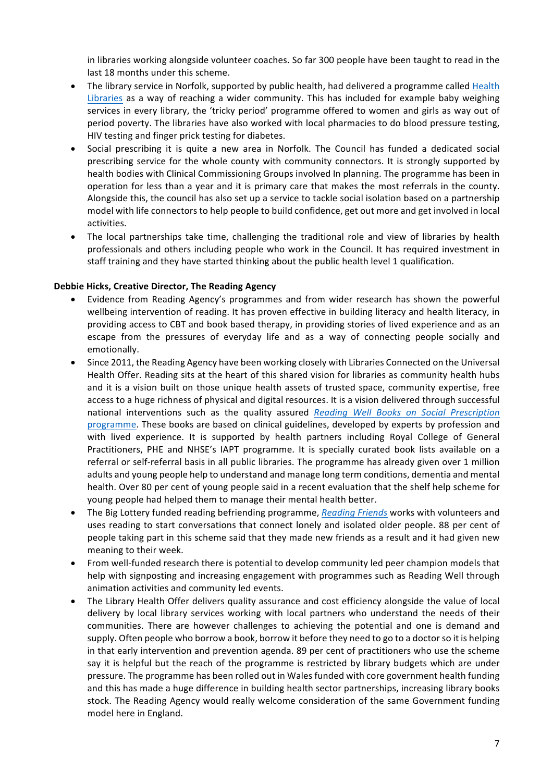in libraries working alongside volunteer coaches. So far 300 people have been taught to read in the last 18 months under this scheme.

- The library service in Norfolk, supported by public health, had delivered a programme called Health Libraries as a way of reaching a wider community. This has included for example baby weighing services in every library, the 'tricky period' programme offered to women and girls as way out of period poverty. The libraries have also worked with local pharmacies to do blood pressure testing, HIV testing and finger prick testing for diabetes.
- Social prescribing it is quite a new area in Norfolk. The Council has funded a dedicated social prescribing service for the whole county with community connectors. It is strongly supported by health bodies with Clinical Commissioning Groups involved In planning. The programme has been in operation for less than a year and it is primary care that makes the most referrals in the county. Alongside this, the council has also set up a service to tackle social isolation based on a partnership model with life connectors to help people to build confidence, get out more and get involved in local activities.
- The local partnerships take time, challenging the traditional role and view of libraries by health professionals and others including people who work in the Council. It has required investment in staff training and they have started thinking about the public health level 1 qualification.

#### **Debbie Hicks, Creative Director, The Reading Agency**

- Evidence from Reading Agency's programmes and from wider research has shown the powerful wellbeing intervention of reading. It has proven effective in building literacy and health literacy, in providing access to CBT and book based therapy, in providing stories of lived experience and as an escape from the pressures of everyday life and as a way of connecting people socially and emotionally.
- Since 2011, the Reading Agency have been working closely with Libraries Connected on the Universal Health Offer. Reading sits at the heart of this shared vision for libraries as community health hubs and it is a vision built on those unique health assets of trusted space, community expertise, free access to a huge richness of physical and digital resources. It is a vision delivered through successful national interventions such as the quality assured *Reading Well Books on Social Prescription* programme. These books are based on clinical guidelines, developed by experts by profession and with lived experience. It is supported by health partners including Royal College of General Practitioners, PHE and NHSE's IAPT programme. It is specially curated book lists available on a referral or self-referral basis in all public libraries. The programme has already given over 1 million adults and young people help to understand and manage long term conditions, dementia and mental health. Over 80 per cent of young people said in a recent evaluation that the shelf help scheme for young people had helped them to manage their mental health better.
- The Big Lottery funded reading befriending programme, *Reading Friends* works with volunteers and uses reading to start conversations that connect lonely and isolated older people. 88 per cent of people taking part in this scheme said that they made new friends as a result and it had given new meaning to their week.
- From well-funded research there is potential to develop community led peer champion models that help with signposting and increasing engagement with programmes such as Reading Well through animation activities and community led events.
- The Library Health Offer delivers quality assurance and cost efficiency alongside the value of local delivery by local library services working with local partners who understand the needs of their communities. There are however challenges to achieving the potential and one is demand and supply. Often people who borrow a book, borrow it before they need to go to a doctor so it is helping in that early intervention and prevention agenda. 89 per cent of practitioners who use the scheme say it is helpful but the reach of the programme is restricted by library budgets which are under pressure. The programme has been rolled out in Wales funded with core government health funding and this has made a huge difference in building health sector partnerships, increasing library books stock. The Reading Agency would really welcome consideration of the same Government funding model here in England.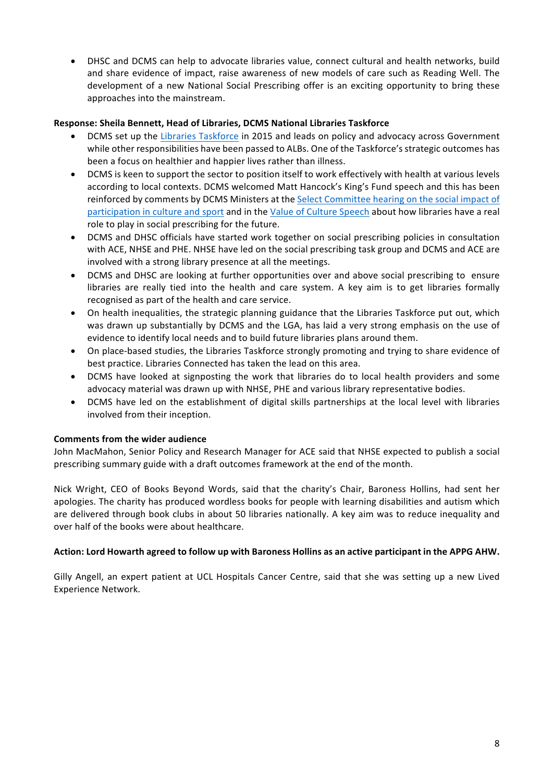DHSC and DCMS can help to advocate libraries value, connect cultural and health networks, build and share evidence of impact, raise awareness of new models of care such as Reading Well. The development of a new National Social Prescribing offer is an exciting opportunity to bring these approaches into the mainstream.

### **Response: Sheila Bennett, Head of Libraries, DCMS National Libraries Taskforce**

- DCMS set up the Libraries Taskforce in 2015 and leads on policy and advocacy across Government while other responsibilities have been passed to ALBs. One of the Taskforce's strategic outcomes has been a focus on healthier and happier lives rather than illness.
- DCMS is keen to support the sector to position itself to work effectively with health at various levels according to local contexts. DCMS welcomed Matt Hancock's King's Fund speech and this has been reinforced by comments by DCMS Ministers at the Select Committee hearing on the social impact of participation in culture and sport and in the Value of Culture Speech about how libraries have a real role to play in social prescribing for the future.
- DCMS and DHSC officials have started work together on social prescribing policies in consultation with ACE, NHSE and PHE. NHSE have led on the social prescribing task group and DCMS and ACE are involved with a strong library presence at all the meetings.
- DCMS and DHSC are looking at further opportunities over and above social prescribing to ensure libraries are really tied into the health and care system. A key aim is to get libraries formally recognised as part of the health and care service.
- On health inequalities, the strategic planning guidance that the Libraries Taskforce put out, which was drawn up substantially by DCMS and the LGA, has laid a very strong emphasis on the use of evidence to identify local needs and to build future libraries plans around them.
- On place-based studies, the Libraries Taskforce strongly promoting and trying to share evidence of best practice. Libraries Connected has taken the lead on this area.
- DCMS have looked at signposting the work that libraries do to local health providers and some advocacy material was drawn up with NHSE, PHE and various library representative bodies.
- DCMS have led on the establishment of digital skills partnerships at the local level with libraries involved from their inception.

# **Comments from the wider audience**

John MacMahon, Senior Policy and Research Manager for ACE said that NHSE expected to publish a social prescribing summary guide with a draft outcomes framework at the end of the month.

Nick Wright, CEO of Books Beyond Words, said that the charity's Chair, Baroness Hollins, had sent her apologies. The charity has produced wordless books for people with learning disabilities and autism which are delivered through book clubs in about 50 libraries nationally. A key aim was to reduce inequality and over half of the books were about healthcare.

#### **Action: Lord Howarth agreed to follow up with Baroness Hollins as an active participant in the APPG AHW.**

Gilly Angell, an expert patient at UCL Hospitals Cancer Centre, said that she was setting up a new Lived Experience Network.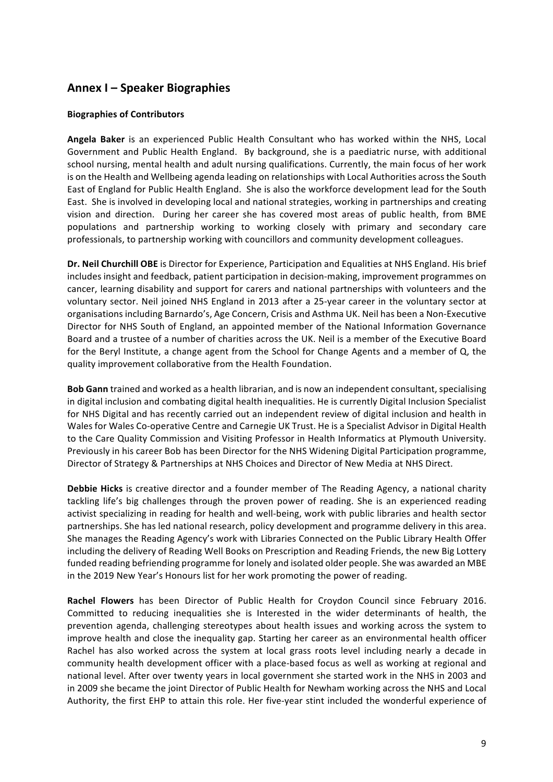# **Annex I – Speaker Biographies**

### **Biographies of Contributors**

**Angela Baker** is an experienced Public Health Consultant who has worked within the NHS, Local Government and Public Health England. By background, she is a paediatric nurse, with additional school nursing, mental health and adult nursing qualifications. Currently, the main focus of her work is on the Health and Wellbeing agenda leading on relationships with Local Authorities across the South East of England for Public Health England. She is also the workforce development lead for the South East. She is involved in developing local and national strategies, working in partnerships and creating vision and direction. During her career she has covered most areas of public health, from BME populations and partnership working to working closely with primary and secondary care professionals, to partnership working with councillors and community development colleagues.

Dr. Neil Churchill OBE is Director for Experience, Participation and Equalities at NHS England. His brief includes insight and feedback, patient participation in decision-making, improvement programmes on cancer, learning disability and support for carers and national partnerships with volunteers and the voluntary sector. Neil joined NHS England in 2013 after a 25-year career in the voluntary sector at organisations including Barnardo's, Age Concern, Crisis and Asthma UK. Neil has been a Non-Executive Director for NHS South of England, an appointed member of the National Information Governance Board and a trustee of a number of charities across the UK. Neil is a member of the Executive Board for the Beryl Institute, a change agent from the School for Change Agents and a member of Q, the quality improvement collaborative from the Health Foundation.

**Bob Gann** trained and worked as a health librarian, and is now an independent consultant, specialising in digital inclusion and combating digital health inequalities. He is currently Digital Inclusion Specialist for NHS Digital and has recently carried out an independent review of digital inclusion and health in Wales for Wales Co-operative Centre and Carnegie UK Trust. He is a Specialist Advisor in Digital Health to the Care Quality Commission and Visiting Professor in Health Informatics at Plymouth University. Previously in his career Bob has been Director for the NHS Widening Digital Participation programme, Director of Strategy & Partnerships at NHS Choices and Director of New Media at NHS Direct.

Debbie Hicks is creative director and a founder member of The Reading Agency, a national charity tackling life's big challenges through the proven power of reading. She is an experienced reading activist specializing in reading for health and well-being, work with public libraries and health sector partnerships. She has led national research, policy development and programme delivery in this area. She manages the Reading Agency's work with Libraries Connected on the Public Library Health Offer including the delivery of Reading Well Books on Prescription and Reading Friends, the new Big Lottery funded reading befriending programme for lonely and isolated older people. She was awarded an MBE in the 2019 New Year's Honours list for her work promoting the power of reading.

Rachel Flowers has been Director of Public Health for Croydon Council since February 2016. Committed to reducing inequalities she is Interested in the wider determinants of health, the prevention agenda, challenging stereotypes about health issues and working across the system to improve health and close the inequality gap. Starting her career as an environmental health officer Rachel has also worked across the system at local grass roots level including nearly a decade in community health development officer with a place-based focus as well as working at regional and national level. After over twenty years in local government she started work in the NHS in 2003 and in 2009 she became the joint Director of Public Health for Newham working across the NHS and Local Authority, the first EHP to attain this role. Her five-year stint included the wonderful experience of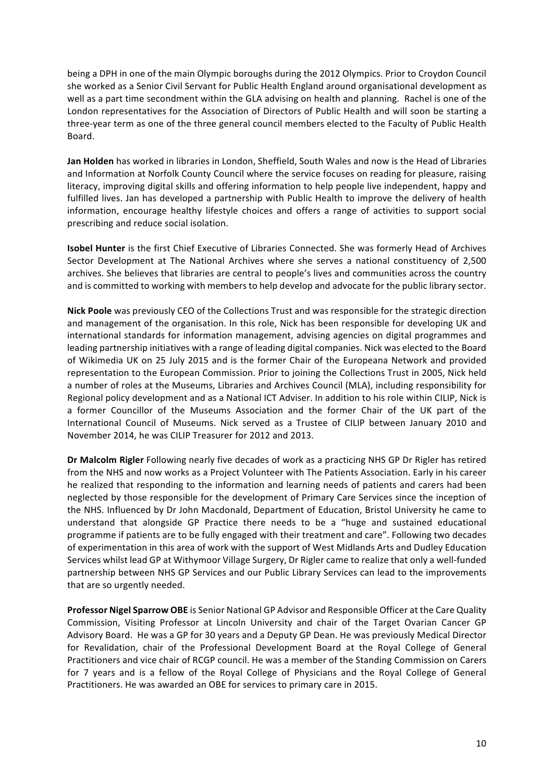being a DPH in one of the main Olympic boroughs during the 2012 Olympics. Prior to Croydon Council she worked as a Senior Civil Servant for Public Health England around organisational development as well as a part time secondment within the GLA advising on health and planning. Rachel is one of the London representatives for the Association of Directors of Public Health and will soon be starting a three-year term as one of the three general council members elected to the Faculty of Public Health Board.

**Jan Holden** has worked in libraries in London, Sheffield, South Wales and now is the Head of Libraries and Information at Norfolk County Council where the service focuses on reading for pleasure, raising literacy, improving digital skills and offering information to help people live independent, happy and fulfilled lives. Jan has developed a partnership with Public Health to improve the delivery of health information, encourage healthy lifestyle choices and offers a range of activities to support social prescribing and reduce social isolation.

**Isobel Hunter** is the first Chief Executive of Libraries Connected. She was formerly Head of Archives Sector Development at The National Archives where she serves a national constituency of 2,500 archives. She believes that libraries are central to people's lives and communities across the country and is committed to working with members to help develop and advocate for the public library sector.

Nick Poole was previously CEO of the Collections Trust and was responsible for the strategic direction and management of the organisation. In this role, Nick has been responsible for developing UK and international standards for information management, advising agencies on digital programmes and leading partnership initiatives with a range of leading digital companies. Nick was elected to the Board of Wikimedia UK on 25 July 2015 and is the former Chair of the Europeana Network and provided representation to the European Commission. Prior to joining the Collections Trust in 2005, Nick held a number of roles at the Museums, Libraries and Archives Council (MLA), including responsibility for Regional policy development and as a National ICT Adviser. In addition to his role within CILIP, Nick is a former Councillor of the Museums Association and the former Chair of the UK part of the International Council of Museums. Nick served as a Trustee of CILIP between January 2010 and November 2014, he was CILIP Treasurer for 2012 and 2013.

**Dr Malcolm Rigler** Following nearly five decades of work as a practicing NHS GP Dr Rigler has retired from the NHS and now works as a Project Volunteer with The Patients Association. Early in his career he realized that responding to the information and learning needs of patients and carers had been neglected by those responsible for the development of Primary Care Services since the inception of the NHS. Influenced by Dr John Macdonald, Department of Education, Bristol University he came to understand that alongside GP Practice there needs to be a "huge and sustained educational programme if patients are to be fully engaged with their treatment and care". Following two decades of experimentation in this area of work with the support of West Midlands Arts and Dudley Education Services whilst lead GP at Withymoor Village Surgery, Dr Rigler came to realize that only a well-funded partnership between NHS GP Services and our Public Library Services can lead to the improvements that are so urgently needed.

**Professor Nigel Sparrow OBE** is Senior National GP Advisor and Responsible Officer at the Care Quality Commission, Visiting Professor at Lincoln University and chair of the Target Ovarian Cancer GP Advisory Board. He was a GP for 30 years and a Deputy GP Dean. He was previously Medical Director for Revalidation, chair of the Professional Development Board at the Royal College of General Practitioners and vice chair of RCGP council. He was a member of the Standing Commission on Carers for 7 years and is a fellow of the Royal College of Physicians and the Royal College of General Practitioners. He was awarded an OBE for services to primary care in 2015.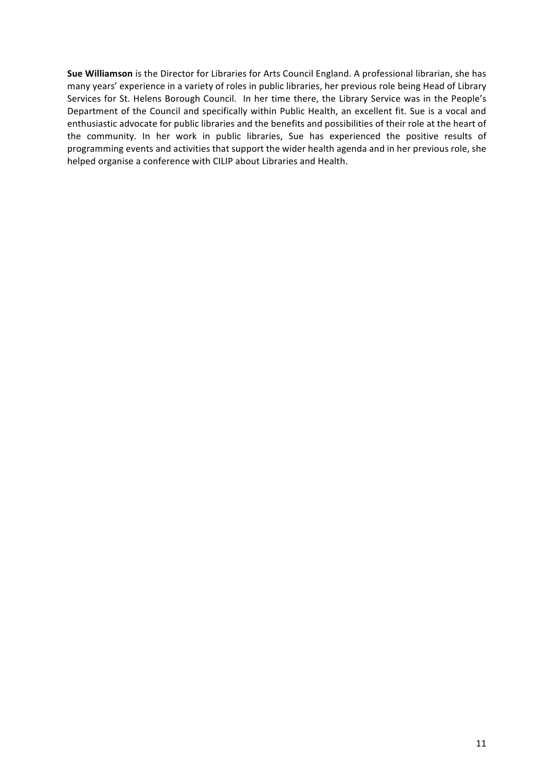Sue Williamson is the Director for Libraries for Arts Council England. A professional librarian, she has many years' experience in a variety of roles in public libraries, her previous role being Head of Library Services for St. Helens Borough Council. In her time there, the Library Service was in the People's Department of the Council and specifically within Public Health, an excellent fit. Sue is a vocal and enthusiastic advocate for public libraries and the benefits and possibilities of their role at the heart of the community. In her work in public libraries, Sue has experienced the positive results of programming events and activities that support the wider health agenda and in her previous role, she helped organise a conference with CILIP about Libraries and Health.